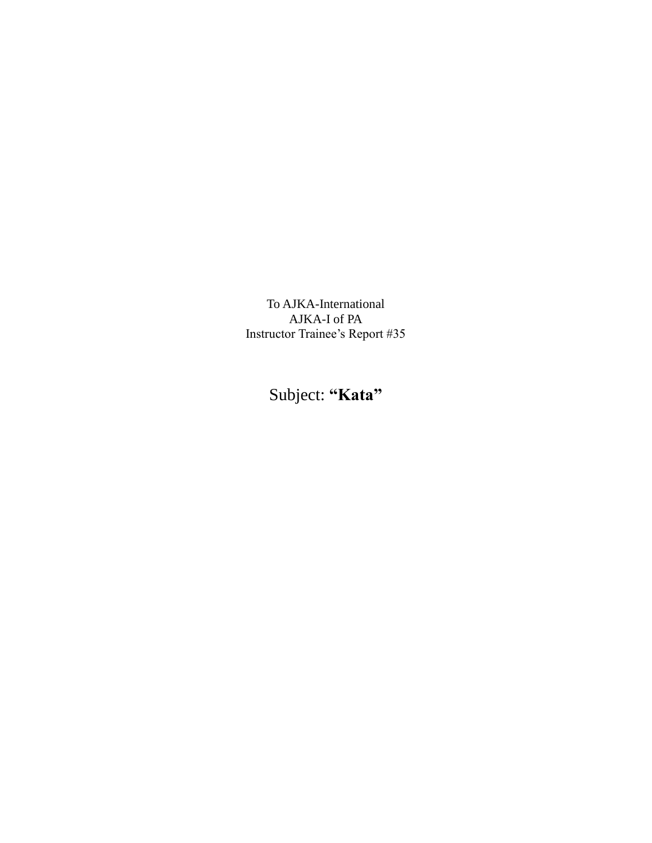To AJKA-International AJKA-I of PA Instructor Trainee's Report #35

Subject: **"Kata"**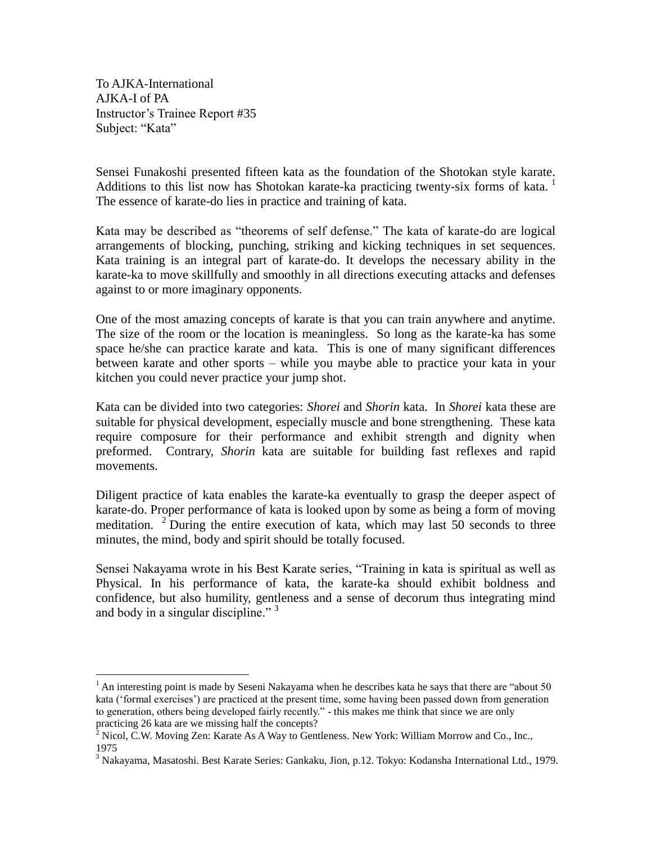To AJKA-International AJKA-I of PA Instructor's Trainee Report #35 Subject: "Kata"

 $\overline{a}$ 

Sensei Funakoshi presented fifteen kata as the foundation of the Shotokan style karate. Additions to this list now has Shotokan karate-ka practicing twenty-six forms of kata. The essence of karate-do lies in practice and training of kata.

Kata may be described as "theorems of self defense." The kata of karate-do are logical arrangements of blocking, punching, striking and kicking techniques in set sequences. Kata training is an integral part of karate-do. It develops the necessary ability in the karate-ka to move skillfully and smoothly in all directions executing attacks and defenses against to or more imaginary opponents.

One of the most amazing concepts of karate is that you can train anywhere and anytime. The size of the room or the location is meaningless. So long as the karate-ka has some space he/she can practice karate and kata. This is one of many significant differences between karate and other sports – while you maybe able to practice your kata in your kitchen you could never practice your jump shot.

Kata can be divided into two categories: *Shorei* and *Shorin* kata. In *Shorei* kata these are suitable for physical development, especially muscle and bone strengthening. These kata require composure for their performance and exhibit strength and dignity when preformed. Contrary, *Shorin* kata are suitable for building fast reflexes and rapid movements.

Diligent practice of kata enables the karate-ka eventually to grasp the deeper aspect of karate-do. Proper performance of kata is looked upon by some as being a form of moving meditation. <sup>2</sup> During the entire execution of kata, which may last 50 seconds to three minutes, the mind, body and spirit should be totally focused.

Sensei Nakayama wrote in his Best Karate series, "Training in kata is spiritual as well as Physical. In his performance of kata, the karate-ka should exhibit boldness and confidence, but also humility, gentleness and a sense of decorum thus integrating mind and body in a singular discipline."  $3<sup>3</sup>$ 

 $1$  An interesting point is made by Seseni Nakayama when he describes kata he says that there are "about 50" kata ('formal exercises') are practiced at the present time, some having been passed down from generation to generation, others being developed fairly recently." - this makes me think that since we are only practicing 26 kata are we missing half the concepts?

 $2$  Nicol, C.W. Moving Zen: Karate As A Way to Gentleness. New York: William Morrow and Co., Inc., 1975

<sup>3</sup> Nakayama, Masatoshi. Best Karate Series: Gankaku, Jion, p.12. Tokyo: Kodansha International Ltd., 1979.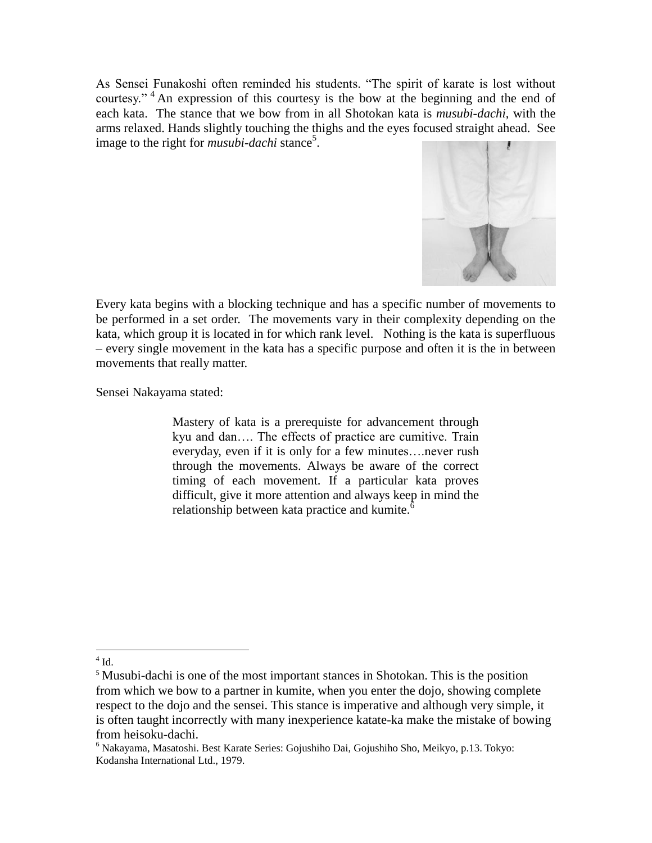As Sensei Funakoshi often reminded his students. "The spirit of karate is lost without courtesy."<sup>4</sup> An expression of this courtesy is the bow at the beginning and the end of each kata. The stance that we bow from in all Shotokan kata is *musubi-dachi*, with the arms relaxed. Hands slightly touching the thighs and the eyes focused straight ahead. See image to the right for *musubi-dachi* stance<sup>5</sup>.



Every kata begins with a blocking technique and has a specific number of movements to be performed in a set order. The movements vary in their complexity depending on the kata, which group it is located in for which rank level. Nothing is the kata is superfluous – every single movement in the kata has a specific purpose and often it is the in between movements that really matter.

Sensei Nakayama stated:

Mastery of kata is a prerequiste for advancement through kyu and dan…. The effects of practice are cumitive. Train everyday, even if it is only for a few minutes….never rush through the movements. Always be aware of the correct timing of each movement. If a particular kata proves difficult, give it more attention and always keep in mind the relationship between kata practice and kumite.<sup>6</sup>

 $4$  Id.

<sup>&</sup>lt;sup>5</sup> Musubi-dachi is one of the most important stances in Shotokan. This is the position from which we bow to a partner in kumite, when you enter the dojo, showing complete respect to the dojo and the sensei. This stance is imperative and although very simple, it is often taught incorrectly with many inexperience katate-ka make the mistake of bowing from heisoku-dachi.

<sup>6</sup> Nakayama, Masatoshi. Best Karate Series: Gojushiho Dai, Gojushiho Sho, Meikyo, p.13. Tokyo: Kodansha International Ltd., 1979.